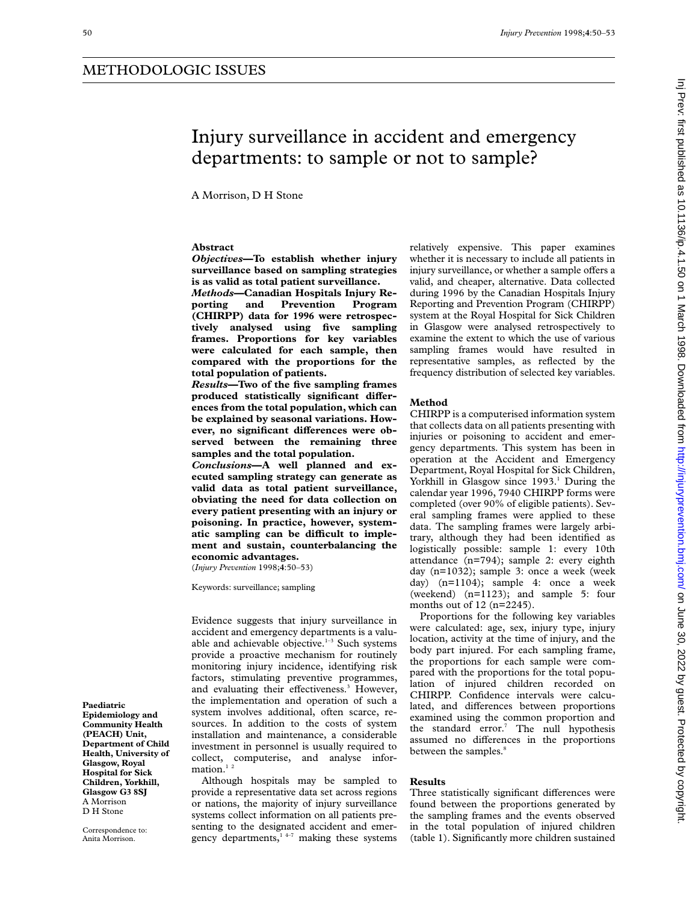# Injury surveillance in accident and emergency departments: to sample or not to sample?

A Morrison, D H Stone

## **Abstract**

*Objectives***—To establish whether injury surveillance based on sampling strategies is as valid as total patient surveillance.**

*Methods***—Canadian Hospitals Injury Re-Prevention (CHIRPP) data for 1996 were retrospectively analysed using five sampling frames. Proportions for key variables were calculated for each sample, then compared with the proportions for the total population of patients.**

*Results***—Two of the five sampling frames** produced statistically significant differ**ences from the total population, which can be explained by seasonal variations. How**ever, no significant differences were ob**served between the remaining three samples and the total population.**

*Conclusions***—A well planned and executed sampling strategy can generate as valid data as total patient surveillance, obviating the need for data collection on every patient presenting with an injury or poisoning. In practice, however, system**atic sampling can be difficult to imple**ment and sustain, counterbalancing the economic advantages.**

(*Injury Prevention* 1998;**4**:50–53)

Keywords: surveillance; sampling

Evidence suggests that injury surveillance in accident and emergency departments is a valuable and achievable objective.<sup>1-3</sup> Such systems provide a proactive mechanism for routinely monitoring injury incidence, identifying risk factors, stimulating preventive programmes, and evaluating their effectiveness.<sup>3</sup> However, the implementation and operation of such a system involves additional, often scarce, resources. In addition to the costs of system installation and maintenance, a considerable investment in personnel is usually required to collect, computerise, and analyse information.<sup>12</sup>

Although hospitals may be sampled to provide a representative data set across regions or nations, the majority of injury surveillance systems collect information on all patients presenting to the designated accident and emergency departments, $1^{4-7}$  making these systems relatively expensive. This paper examines whether it is necessary to include all patients in injury surveillance, or whether a sample offers a valid, and cheaper, alternative. Data collected during 1996 by the Canadian Hospitals Injury Reporting and Prevention Program (CHIRPP) system at the Royal Hospital for Sick Children in Glasgow were analysed retrospectively to examine the extent to which the use of various sampling frames would have resulted in representative samples, as reflected by the frequency distribution of selected key variables.

## **Method**

CHIRPP is a computerised information system that collects data on all patients presenting with injuries or poisoning to accident and emergency departments. This system has been in operation at the Accident and Emergency Department, Royal Hospital for Sick Children, Yorkhill in Glasgow since 1993.<sup>1</sup> During the calendar year 1996, 7940 CHIRPP forms were completed (over 90% of eligible patients). Several sampling frames were applied to these data. The sampling frames were largely arbitrary, although they had been identified as logistically possible: sample 1: every 10th attendance (n=794); sample 2: every eighth day (n=1032); sample 3: once a week (week day) (n=1104); sample 4: once a week (weekend) (n=1123); and sample 5: four months out of 12 (n=2245).

Proportions for the following key variables were calculated: age, sex, injury type, injury location, activity at the time of injury, and the body part injured. For each sampling frame, the proportions for each sample were compared with the proportions for the total population of injured children recorded on CHIRPP. Confidence intervals were calculated, and differences between proportions examined using the common proportion and the standard error.<sup>7</sup> The null hypothesis assumed no differences in the proportions between the samples.<sup>8</sup>

## **Results**

Three statistically significant differences were found between the proportions generated by the sampling frames and the events observed in the total population of injured children (table 1). Significantly more children sustained

**Paediatric**

**Epidemiology and Community Health (PEACH) Unit, Department of Child Health, University of Glasgow, Royal Hospital for Sick Children, Yorkhill, Glasgow G3 8SJ** A Morrison D H Stone

Correspondence to: Anita Morrison.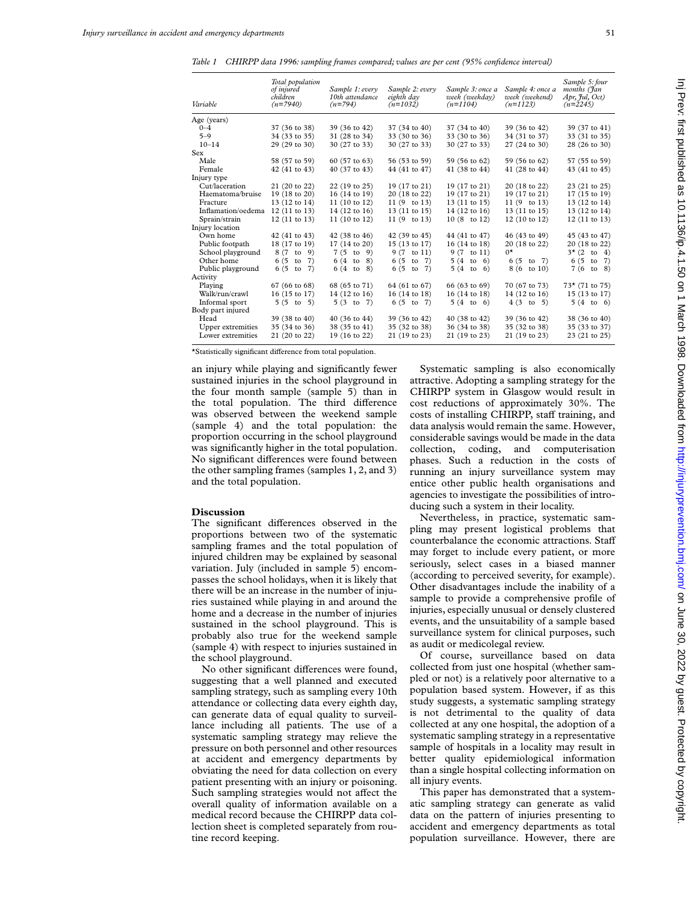*Table 1 CHIRPP data 1996: sampling frames compared; values are per cent (95% confidence interval)*

| Variable           | Total population<br>of injured<br>children<br>$(n=7940)$ | Sample 1: every<br>10th attendance<br>$(n=794)$ | Sample 2: every<br>eighth day<br>$(n=1032)$ | Sample 3: once a<br>week (weekday)<br>$(n=1104)$ | Sample 4: once a<br>week (weekend)<br>$(n=1123)$ | Sample 5: four<br>months (Jan<br>$Apr$ , Jul, Oct)<br>$(n=2245)$ |
|--------------------|----------------------------------------------------------|-------------------------------------------------|---------------------------------------------|--------------------------------------------------|--------------------------------------------------|------------------------------------------------------------------|
| Age (years)        |                                                          |                                                 |                                             |                                                  |                                                  |                                                                  |
| $0 - 4$            | 37 (36 to 38)                                            | 39 (36 to 42)                                   | 37 (34 to 40)                               | 37 (34 to 40)                                    | 39 (36 to 42)                                    | 39 (37 to 41)                                                    |
| $5 - 9$            | 34 (33 to 35)                                            | 31 (28 to 34)                                   | 33 (30 to 36)                               | 33 (30 to 36)                                    | 34 (31 to 37)                                    | 33 (31 to 35)                                                    |
| $10 - 14$          | 29 (29 to 30)                                            | 30 (27 to 33)                                   | 30 (27 to 33)                               | 30 (27 to 33)                                    | 27 (24 to 30)                                    | 28 (26 to 30)                                                    |
| Sex                |                                                          |                                                 |                                             |                                                  |                                                  |                                                                  |
| Male               | 58 (57 to 59)                                            | 60 (57 to 63)                                   | 56 (53 to 59)                               | 59 (56 to 62)                                    | 59 (56 to 62)                                    | 57 (55 to 59)                                                    |
| Female             | 42 (41 to 43)                                            | 40 (37 to 43)                                   | 44 (41 to 47)                               | 41 (38 to 44)                                    | 41 (28 to 44)                                    | 43 (41 to 45)                                                    |
| Injury type        |                                                          |                                                 |                                             |                                                  |                                                  |                                                                  |
| Cut/laceration     | 21 (20 to 22)                                            | 22 (19 to 25)                                   | 19 (17 to 21)                               | 19 (17 to 21)                                    | 20 (18 to 22)                                    | 23 (21 to 25)                                                    |
| Haematoma/bruise   | 19 (18 to 20)                                            | 16 (14 to 19)                                   | 20 (18 to 22)                               | 19 (17 to 21)                                    | 19 (17 to 21)                                    | 17 (15 to 19)                                                    |
| Fracture           | 13 (12 to 14)                                            | 11 (10 to 12)                                   | 11 (9 to 13)                                | 13 (11 to 15)                                    | 11 (9 to 13)                                     | 13 (12 to 14)                                                    |
| Inflamation/oedema | 12 (11 to 13)                                            | 14 (12 to 16)                                   | 13 (11 to 15)                               | 14 (12 to 16)                                    | 13 (11 to 15)                                    | 13 (12 to 14)                                                    |
| Sprain/strain      | 12 (11 to 13)                                            | 11 (10 to 12)                                   | 11 $(9 \text{ to } 13)$                     | 10 (8 to 12)                                     | 12 (10 to 12)                                    | 12 (11 to 13)                                                    |
| Injury location    |                                                          |                                                 |                                             |                                                  |                                                  |                                                                  |
| Own home           | 42 (41 to 43)                                            | 42 $(38 \text{ to } 46)$                        | 42 (39 to 45)                               | 44 (41 to 47)                                    | 46 (43 to 49)                                    | 45 (43 to 47)                                                    |
| Public footpath    | 18 (17 to 19)                                            | 17 (14 to 20)                                   | 15 (13 to 17)                               | 16 (14 to 18)                                    | 20 (18 to 22)                                    | 20 (18 to 22)                                                    |
| School playground  | 8 (7 to 9)                                               | $7(5 \text{ to } 9)$                            | $9(7 \text{ to } 11)$                       | $9(7 \text{ to } 11)$                            | $0^{\star}$                                      | $3*(2 \text{ to } 4)$                                            |
| Other home         | $6(5 \text{ to } 7)$                                     | $6(4 \tto 8)$                                   | $6(5 \tto 7)$                               | $5(4 \tto 6)$                                    | $6(5 \tto 7)$                                    | $6(5 \tto 7)$                                                    |
| Public playground  | $6(5 \text{ to } 7)$                                     | $6(4 \tto 8)$                                   | $6(5 \text{ to } 7)$                        | $5(4 \tto 6)$                                    | 8 (6 to 10)                                      | $7(6 \text{ to } 8)$                                             |
| Activity           |                                                          |                                                 |                                             |                                                  |                                                  |                                                                  |
| Playing            | 67 (66 to 68)                                            | 68 (65 to 71)                                   | 64 (61 to 67)                               | 66 (63 to 69)                                    | 70 (67 to 73)                                    | 73* (71 to 75)                                                   |
| Walk/run/crawl     | 16 (15 to 17)                                            | 14 (12 to 16)                                   | 16 (14 to 18)                               | 16 (14 to 18)                                    | 14 (12 to 16)                                    | 15 (13 to 17)                                                    |
| Informal sport     | $5(5 \text{ to } 5)$                                     | $5(3 \text{ to } 7)$                            | $6(5 \tto 7)$                               | $5(4 \tto 6)$                                    | $4(3 \tto 5)$                                    | $5(4 \tto 6)$                                                    |
| Body part injured  |                                                          |                                                 |                                             |                                                  |                                                  |                                                                  |
| Head               | 39 (38 to 40)                                            | 40 (36 to 44)                                   | 39 (36 to 42)                               | 40 (38 to 42)                                    | 39 (36 to 42)                                    | 38 (36 to 40)                                                    |
| Upper extremities  | 35 (34 to 36)                                            | 38 (35 to 41)                                   | 35 (32 to 38)                               | 36 (34 to 38)                                    | 35 (32 to 38)                                    | 35 (33 to 37)                                                    |
| Lower extremities  | 21 (20 to 22)                                            | 19 (16 to 22)                                   | 21 (19 to 23)                               | 21 (19 to 23)                                    | 21 (19 to 23)                                    | 23 (21 to 25)                                                    |

\*Statistically significant difference from total population.

an injury while playing and significantly fewer sustained injuries in the school playground in the four month sample (sample 5) than in the total population. The third difference was observed between the weekend sample (sample 4) and the total population: the proportion occurring in the school playground was significantly higher in the total population. No significant differences were found between the other sampling frames (samples 1, 2, and 3) and the total population.

## **Discussion**

The significant differences observed in the proportions between two of the systematic sampling frames and the total population of injured children may be explained by seasonal variation. July (included in sample 5) encompasses the school holidays, when it is likely that there will be an increase in the number of injuries sustained while playing in and around the home and a decrease in the number of injuries sustained in the school playground. This is probably also true for the weekend sample (sample 4) with respect to injuries sustained in the school playground.

No other significant differences were found, suggesting that a well planned and executed sampling strategy, such as sampling every 10th attendance or collecting data every eighth day, can generate data of equal quality to surveillance including all patients. The use of a systematic sampling strategy may relieve the pressure on both personnel and other resources at accident and emergency departments by obviating the need for data collection on every patient presenting with an injury or poisoning. Such sampling strategies would not affect the overall quality of information available on a medical record because the CHIRPP data collection sheet is completed separately from routine record keeping.

Systematic sampling is also economically attractive. Adopting a sampling strategy for the CHIRPP system in Glasgow would result in cost reductions of approximately 30%. The costs of installing CHIRPP, staff training, and data analysis would remain the same. However, considerable savings would be made in the data collection, coding, and computerisation phases. Such a reduction in the costs of running an injury surveillance system may entice other public health organisations and agencies to investigate the possibilities of introducing such a system in their locality.

Nevertheless, in practice, systematic sampling may present logistical problems that counterbalance the economic attractions. Staff may forget to include every patient, or more seriously, select cases in a biased manner (according to perceived severity, for example). Other disadvantages include the inability of a sample to provide a comprehensive profile of injuries, especially unusual or densely clustered events, and the unsuitability of a sample based surveillance system for clinical purposes, such as audit or medicolegal review.

Of course, surveillance based on data collected from just one hospital (whether sampled or not) is a relatively poor alternative to a population based system. However, if as this study suggests, a systematic sampling strategy is not detrimental to the quality of data collected at any one hospital, the adoption of a systematic sampling strategy in a representative sample of hospitals in a locality may result in better quality epidemiological information than a single hospital collecting information on all injury events.

This paper has demonstrated that a systematic sampling strategy can generate as valid data on the pattern of injuries presenting to accident and emergency departments as total population surveillance. However, there are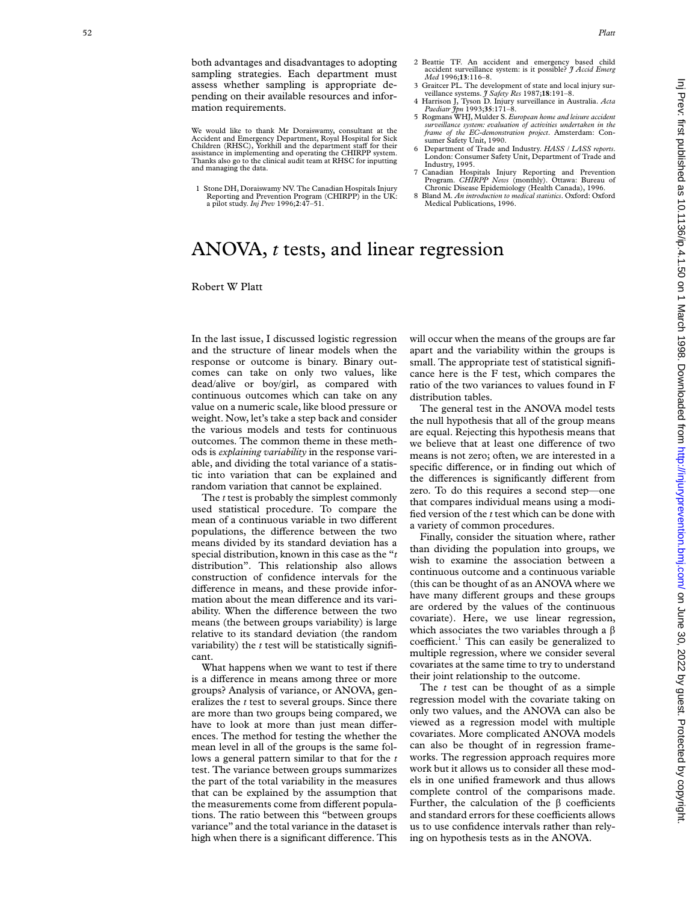both advantages and disadvantages to adopting sampling strategies. Each department must assess whether sampling is appropriate depending on their available resources and information requirements.

We would like to thank Mr Doraiswamy, consultant at the Accident and Emergency Department, Royal Hospital for Sick Children (RHSC), Yorkhill and the department staff for their<br>assistance in implementing and operating the CHIRPP system. Thanks also go to the clinical audit team at RHSC for inputting and managing the data.

1 Stone DH, Doraiswamy NV. The Canadian Hospitals Injury Reporting and Prevention Program (CHIRPP) in the UK: a pilot study. *Inj Prev* 1996; **2**:47–51.

- 2 Beattie TF. An accident and emergency based child accident surveillance system: is it possible? *J Accid Emerg Med* 1996;**13**:116–8.
- 3 Graitcer PL. The development of state and local injury surveillance systems. *J Safety Res* 1987;**18**:191–8.
- 4 Harrison J, Tyson D. Injury surveillance in Australia. *Acta Paediatr Jpn* 1993;**35**:171–8. 5 Rogmans WHJ, Mulder S. *European home and leisure accident*
- *surveillance system: evaluation of activities undertaken in the frame of the EC-demonstration project*. Amsterdam: Consumer Safety Unit, 1990.
- 6 Department of Trade and Industry. *HASS / LASS reports* . London: Consumer Safety Unit, Department of Trade and Industry, 1995.
- Canadian Hospitals Injury Reporting and Prevention Program. *CHIRPP News* (monthly). Ottawa: Bureau of
- Chronic Disease Epidemiology (Health Canada), 1996. 8 Bland M. *An introduction to medical statistics*. Oxford: Oxford Medical Publications, 1996.

# ANOVA, *t* tests, and linear regression

Robert W Platt

In the last issue, I discussed logistic regression and the structure of linear models when the response or outcome is binary. Binary outcomes can take on only two values, like dead/alive or boy/girl, as compared with continuous outcomes which can take on any value on a numeric scale, like blood pressure or weight. Now, let's take a step back and consider the various models and tests for continuous outcomes. The common theme in these methods is *explaining variability* in the response variable, and dividing the total variance of a statistic into variation that can be explained and random variation that cannot be explained.

The *t* test is probably the simplest commonly used statistical procedure. To compare the mean of a continuous variable in two different populations, the difference between the two means divided by its standard deviation has a special distribution, known in this case as the " *t* distribution". This relationship also allows construction of confidence intervals for the difference in means, and these provide information about the mean difference and its variability. When the difference between the two means (the between groups variability) is large relative to its standard deviation (the random variability) the *t* test will be statistically significant.

What happens when we want to test if there is a difference in means among three or more groups? Analysis of variance, or ANOVA, generalizes the *t* test to several groups. Since there are more than two groups being compared, we have to look at more than just mean differences. The method for testing the whether the mean level in all of the groups is the same follows a general pattern similar to that for the *t* test. The variance between groups summarizes the part of the total variability in the measures that can be explained by the assumption that the measurements come from different populations. The ratio between this "between groups variance" and the total variance in the dataset is high when there is a significant difference. This

will occur when the means of the groups are far apart and the variability within the groups is small. The appropriate test of statistical significance here is the F test, which compares the ratio of the two variances to values found in F distribution tables.

The general test in the ANOVA model tests the null hypothesis that all of the group means are equal. Rejecting this hypothesis means that we believe that at least one difference of two means is not zero; often, we are interested in a specific difference, or in finding out which of the differences is significantly different from zero. To do this requires a second step—one that compares individual means using a modified version of the *t* test which can be done with a variety of common procedures.

Finally, consider the situation where, rather than dividing the population into groups, we wish to examine the association between a continuous outcome and a continuous variable (this can be thought of as an ANOVA where we have many different groups and these groups are ordered by the values of the continuous covariate). Here, we use linear regression, which associates the two variables through a  $\beta$ coefficient.<sup>1</sup> This can easily be generalized to multiple regression, where we consider several covariates at the same time to try to understand their joint relationship to the outcome.

The *t* test can be thought of as a simple regression model with the covariate taking on only two values, and the ANOVA can also be viewed as a regression model with multiple covariates. More complicated ANOVA models can also be thought of in regression frameworks. The regression approach requires more work but it allows us to consider all these models in one unified framework and thus allows complete control of the comparisons made. Further, the calculation of the  $\beta$  coefficients and standard errors for these coefficients allows us to use confidence intervals rather than relying on hypothesis tests as in the ANOVA.